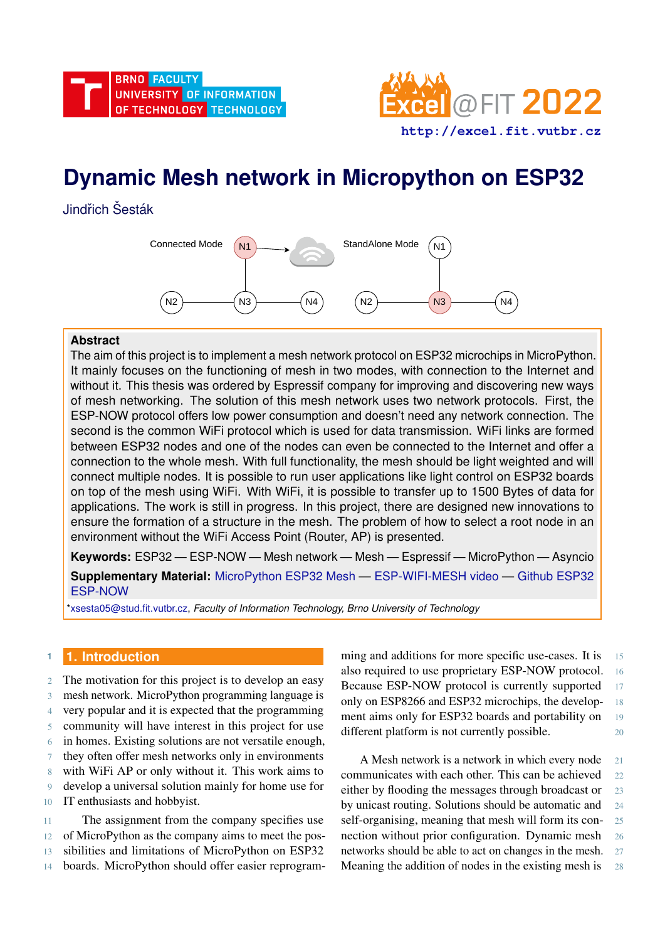

# **Dynamic Mesh network in Micropython on ESP32**

Jindřich Šesták



# **Abstract**

The aim of this project is to implement a mesh network protocol on ESP32 microchips in MicroPython. It mainly focuses on the functioning of mesh in two modes, with connection to the Internet and without it. This thesis was ordered by Espressif company for improving and discovering new ways of mesh networking. The solution of this mesh network uses two network protocols. First, the ESP-NOW protocol offers low power consumption and doesn't need any network connection. The second is the common WiFi protocol which is used for data transmission. WiFi links are formed between ESP32 nodes and one of the nodes can even be connected to the Internet and offer a connection to the whole mesh. With full functionality, the mesh should be light weighted and will connect multiple nodes. It is possible to run user applications like light control on ESP32 boards on top of the mesh using WiFi. With WiFi, it is possible to transfer up to 1500 Bytes of data for applications. The work is still in progress. In this project, there are designed new innovations to ensure the formation of a structure in the mesh. The problem of how to select a root node in an environment without the WiFi Access Point (Router, AP) is presented.

**Keywords:** ESP32 — ESP-NOW — Mesh network — Mesh — Espressif — MicroPython — Asyncio **Supplementary Material:** [MicroPython ESP32 Mesh](https://github.com/SestakJ/DP/tree/develop) — [ESP-WIFI-MESH video](https://www.youtube.com/watch?v=8JaK2W0avr0) — [Github ESP32](https://github.com/glenn20/micropython/tree/espnow-g20/ports/esp32) [ESP-NOW](https://github.com/glenn20/micropython/tree/espnow-g20/ports/esp32)

[\\*xsesta05@stud.fit.vutbr.cz,](mailto:xsesta05@stud.fit.vutbr.cz) *Faculty of Information Technology, Brno University of Technology*

# **<sup>1</sup> 1. Introduction**

- 2 The motivation for this project is to develop an easy
- 3 mesh network. MicroPython programming language is
- 4 very popular and it is expected that the programming
- 5 community will have interest in this project for use
- 6 in homes. Existing solutions are not versatile enough,
- 7 they often offer mesh networks only in environments
- 8 with WiFi AP or only without it. This work aims to 9 develop a universal solution mainly for home use for 10 IT enthusiasts and hobbyist.
- 11 The assignment from the company specifies use 12 of MicroPython as the company aims to meet the pos-13 sibilities and limitations of MicroPython on ESP32 14 boards. MicroPython should offer easier reprogram-

ming and additions for more specific use-cases. It is 15 also required to use proprietary ESP-NOW protocol. 16 Because ESP-NOW protocol is currently supported 17 only on ESP8266 and ESP32 microchips, the develop- 18 ment aims only for ESP32 boards and portability on 19 different platform is not currently possible. 20

A Mesh network is a network in which every node 21 communicates with each other. This can be achieved 22 either by flooding the messages through broadcast or 23 by unicast routing. Solutions should be automatic and 24 self-organising, meaning that mesh will form its connection without prior configuration. Dynamic mesh 26 networks should be able to act on changes in the mesh. 27 Meaning the addition of nodes in the existing mesh is 28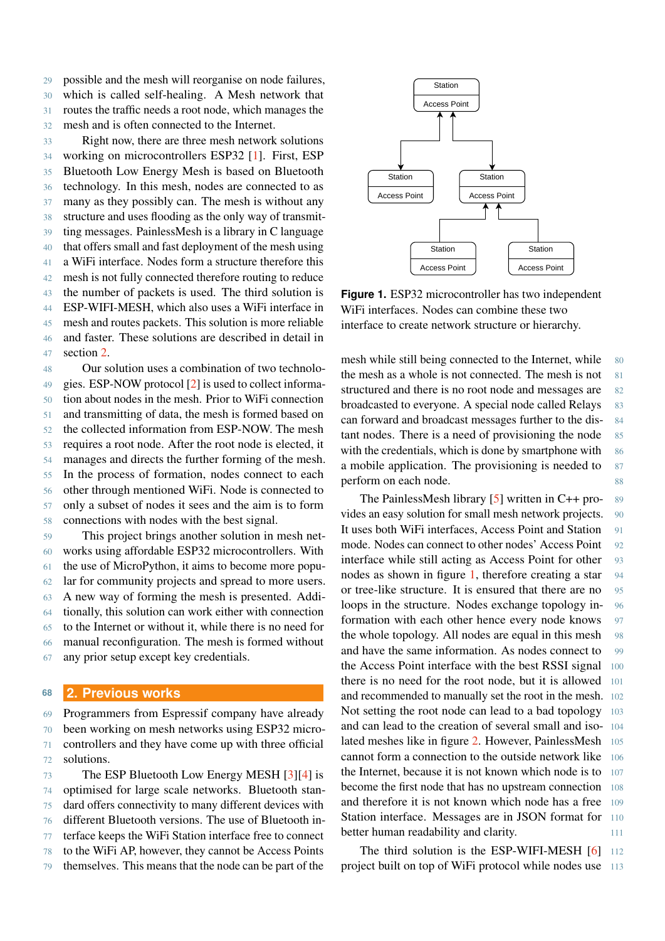possible and the mesh will reorganise on node failures, which is called self-healing. A Mesh network that routes the traffic needs a root node, which manages the mesh and is often connected to the Internet.

 Right now, there are three mesh network solutions working on microcontrollers ESP32 [\[1\]](#page-5-0). First, ESP Bluetooth Low Energy Mesh is based on Bluetooth technology. In this mesh, nodes are connected to as many as they possibly can. The mesh is without any structure and uses flooding as the only way of transmit- ting messages. PainlessMesh is a library in C language that offers small and fast deployment of the mesh using a WiFi interface. Nodes form a structure therefore this mesh is not fully connected therefore routing to reduce the number of packets is used. The third solution is ESP-WIFI-MESH, which also uses a WiFi interface in mesh and routes packets. This solution is more reliable and faster. These solutions are described in detail in section [2.](#page-1-0)

 Our solution uses a combination of two technolo- gies. ESP-NOW protocol [\[2\]](#page-5-1) is used to collect informa- tion about nodes in the mesh. Prior to WiFi connection and transmitting of data, the mesh is formed based on the collected information from ESP-NOW. The mesh requires a root node. After the root node is elected, it manages and directs the further forming of the mesh. In the process of formation, nodes connect to each other through mentioned WiFi. Node is connected to only a subset of nodes it sees and the aim is to form connections with nodes with the best signal.

 This project brings another solution in mesh net- works using affordable ESP32 microcontrollers. With the use of MicroPython, it aims to become more popu- lar for community projects and spread to more users. A new way of forming the mesh is presented. Addi- tionally, this solution can work either with connection to the Internet or without it, while there is no need for manual reconfiguration. The mesh is formed without any prior setup except key credentials.

#### <span id="page-1-0"></span>**<sup>68</sup> 2. Previous works**

 Programmers from Espressif company have already been working on mesh networks using ESP32 micro- controllers and they have come up with three official solutions. The ESP Bluetooth Low Energy MESH [\[3\]](#page-6-0)[\[4\]](#page-6-1) is

 optimised for large scale networks. Bluetooth stan- dard offers connectivity to many different devices with different Bluetooth versions. The use of Bluetooth in- terface keeps the WiFi Station interface free to connect to the WiFi AP, however, they cannot be Access Points

<span id="page-1-1"></span>

**Figure 1.** ESP32 microcontroller has two independent WiFi interfaces. Nodes can combine these two interface to create network structure or hierarchy.

mesh while still being connected to the Internet, while 80 the mesh as a whole is not connected. The mesh is not 81 structured and there is no root node and messages are 82 broadcasted to everyone. A special node called Relays 83 can forward and broadcast messages further to the dis- 84 tant nodes. There is a need of provisioning the node 85 with the credentials, which is done by smartphone with  $86$ a mobile application. The provisioning is needed to  $87$ perform on each node. 88

The PainlessMesh library  $[5]$  written in C++ pro- 89 vides an easy solution for small mesh network projects. 90 It uses both WiFi interfaces, Access Point and Station 91 mode. Nodes can connect to other nodes' Access Point 92 interface while still acting as Access Point for other 93 nodes as shown in figure [1,](#page-1-1) therefore creating a star 94 or tree-like structure. It is ensured that there are no 95 loops in the structure. Nodes exchange topology in- 96 formation with each other hence every node knows 97 the whole topology. All nodes are equal in this mesh 98 and have the same information. As nodes connect to 99 the Access Point interface with the best RSSI signal 100 there is no need for the root node, but it is allowed 101 and recommended to manually set the root in the mesh. 102 Not setting the root node can lead to a bad topology 103 and can lead to the creation of several small and iso- 104 lated meshes like in figure [2.](#page-2-0) However, PainlessMesh 105 cannot form a connection to the outside network like 106 the Internet, because it is not known which node is to 107 become the first node that has no upstream connection 108 and therefore it is not known which node has a free 109 Station interface. Messages are in JSON format for 110 better human readability and clarity.

The third solution is the ESP-WIFI-MESH [\[6\]](#page-6-3) 112 project built on top of WiFi protocol while nodes use 113

79 themselves. This means that the node can be part of the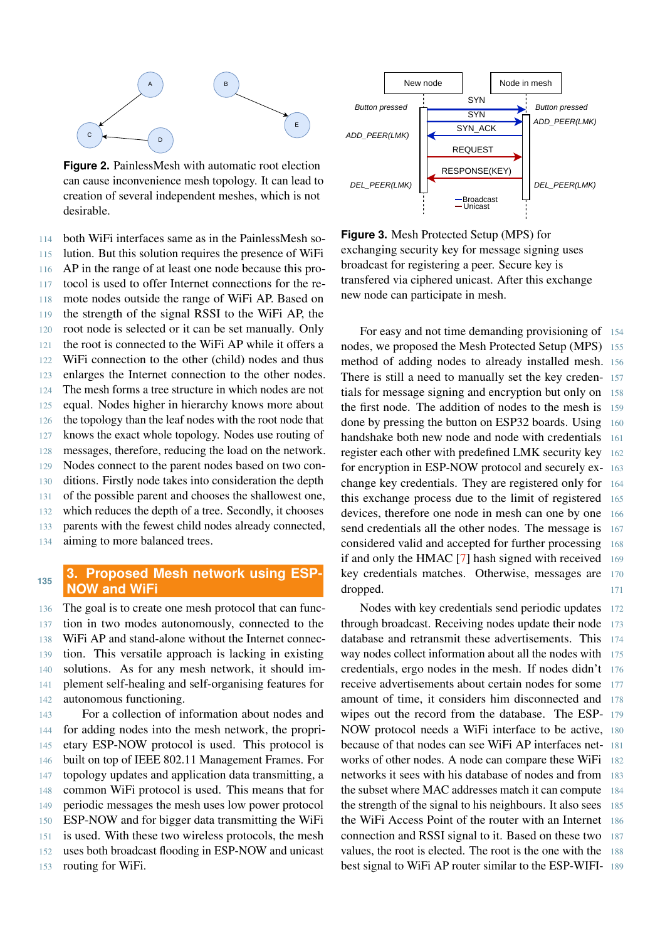<span id="page-2-0"></span>

**Figure 2.** PainlessMesh with automatic root election can cause inconvenience mesh topology. It can lead to creation of several independent meshes, which is not desirable.

 both WiFi interfaces same as in the PainlessMesh so- lution. But this solution requires the presence of WiFi AP in the range of at least one node because this pro- tocol is used to offer Internet connections for the re- mote nodes outside the range of WiFi AP. Based on the strength of the signal RSSI to the WiFi AP, the root node is selected or it can be set manually. Only the root is connected to the WiFi AP while it offers a WiFi connection to the other (child) nodes and thus enlarges the Internet connection to the other nodes. The mesh forms a tree structure in which nodes are not equal. Nodes higher in hierarchy knows more about the topology than the leaf nodes with the root node that knows the exact whole topology. Nodes use routing of messages, therefore, reducing the load on the network. Nodes connect to the parent nodes based on two con- ditions. Firstly node takes into consideration the depth of the possible parent and chooses the shallowest one, which reduces the depth of a tree. Secondly, it chooses parents with the fewest child nodes already connected, aiming to more balanced trees.

# **3. Proposed Mesh network using ESP-NOW and WiFi 135**

 The goal is to create one mesh protocol that can func- tion in two modes autonomously, connected to the WiFi AP and stand-alone without the Internet connec- tion. This versatile approach is lacking in existing solutions. As for any mesh network, it should im- plement self-healing and self-organising features for autonomous functioning.

 For a collection of information about nodes and for adding nodes into the mesh network, the propri- etary ESP-NOW protocol is used. This protocol is built on top of IEEE 802.11 Management Frames. For topology updates and application data transmitting, a common WiFi protocol is used. This means that for periodic messages the mesh uses low power protocol ESP-NOW and for bigger data transmitting the WiFi is used. With these two wireless protocols, the mesh uses both broadcast flooding in ESP-NOW and unicast routing for WiFi.



**Figure 3.** Mesh Protected Setup (MPS) for exchanging security key for message signing uses broadcast for registering a peer. Secure key is transfered via ciphered unicast. After this exchange new node can participate in mesh.

For easy and not time demanding provisioning of 154 nodes, we proposed the Mesh Protected Setup (MPS) 155 method of adding nodes to already installed mesh. 156 There is still a need to manually set the key creden- 157 tials for message signing and encryption but only on 158 the first node. The addition of nodes to the mesh is 159 done by pressing the button on ESP32 boards. Using 160 handshake both new node and node with credentials 161 register each other with predefined LMK security key 162 for encryption in ESP-NOW protocol and securely ex- 163 change key credentials. They are registered only for 164 this exchange process due to the limit of registered 165 devices, therefore one node in mesh can one by one 166 send credentials all the other nodes. The message is 167 considered valid and accepted for further processing 168 if and only the HMAC [\[7\]](#page-6-4) hash signed with received 169 key credentials matches. Otherwise, messages are 170 dropped. 171

Nodes with key credentials send periodic updates 172 through broadcast. Receiving nodes update their node 173 database and retransmit these advertisements. This 174 way nodes collect information about all the nodes with 175 credentials, ergo nodes in the mesh. If nodes didn't 176 receive advertisements about certain nodes for some 177 amount of time, it considers him disconnected and 178 wipes out the record from the database. The ESP- 179 NOW protocol needs a WiFi interface to be active, 180 because of that nodes can see WiFi AP interfaces net- 181 works of other nodes. A node can compare these WiFi 182 networks it sees with his database of nodes and from 183 the subset where MAC addresses match it can compute 184 the strength of the signal to his neighbours. It also sees 185 the WiFi Access Point of the router with an Internet 186 connection and RSSI signal to it. Based on these two 187 values, the root is elected. The root is the one with the 188 best signal to WiFi AP router similar to the ESP-WIFI- 189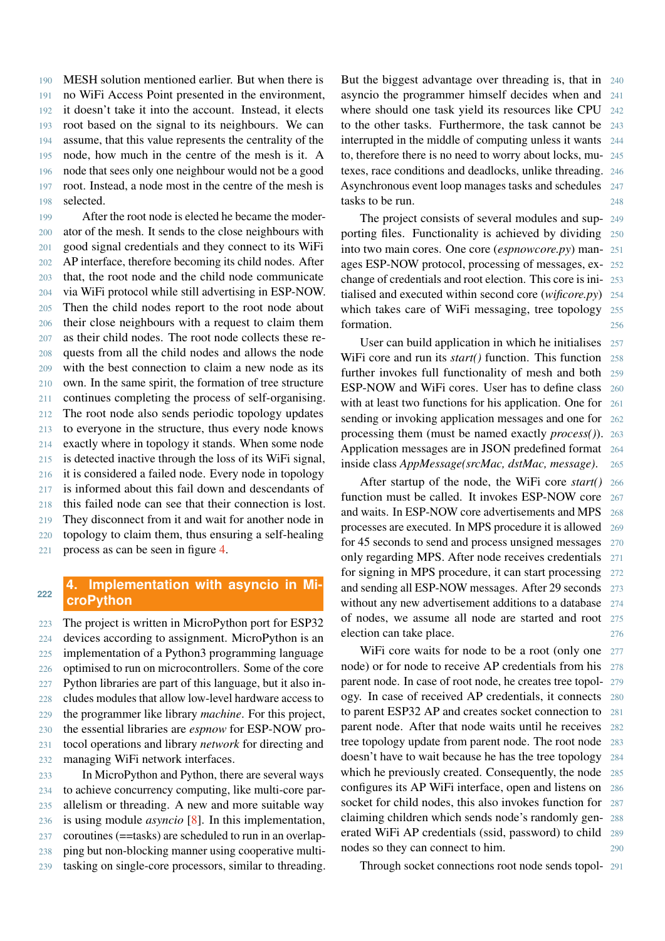MESH solution mentioned earlier. But when there is no WiFi Access Point presented in the environment, it doesn't take it into the account. Instead, it elects root based on the signal to its neighbours. We can assume, that this value represents the centrality of the node, how much in the centre of the mesh is it. A node that sees only one neighbour would not be a good root. Instead, a node most in the centre of the mesh is selected.

199 After the root node is elected he became the moder- ator of the mesh. It sends to the close neighbours with good signal credentials and they connect to its WiFi AP interface, therefore becoming its child nodes. After that, the root node and the child node communicate via WiFi protocol while still advertising in ESP-NOW. Then the child nodes report to the root node about their close neighbours with a request to claim them as their child nodes. The root node collects these re- quests from all the child nodes and allows the node with the best connection to claim a new node as its own. In the same spirit, the formation of tree structure continues completing the process of self-organising. The root node also sends periodic topology updates to everyone in the structure, thus every node knows exactly where in topology it stands. When some node is detected inactive through the loss of its WiFi signal, it is considered a failed node. Every node in topology is informed about this fail down and descendants of this failed node can see that their connection is lost. They disconnect from it and wait for another node in topology to claim them, thus ensuring a self-healing process as can be seen in figure [4.](#page-4-0)

## **4. Implementation with asyncio in MicroPython <sup>222</sup>**

 The project is written in MicroPython port for ESP32 devices according to assignment. MicroPython is an implementation of a Python3 programming language optimised to run on microcontrollers. Some of the core Python libraries are part of this language, but it also in- cludes modules that allow low-level hardware access to the programmer like library *machine*. For this project, the essential libraries are *espnow* for ESP-NOW pro- tocol operations and library *network* for directing and managing WiFi network interfaces.

 In MicroPython and Python, there are several ways to achieve concurrency computing, like multi-core par- allelism or threading. A new and more suitable way is using module *asyncio* [\[8\]](#page-6-5). In this implementation, coroutines (==tasks) are scheduled to run in an overlap- ping but non-blocking manner using cooperative multi-tasking on single-core processors, similar to threading. But the biggest advantage over threading is, that in 240 asyncio the programmer himself decides when and 241 where should one task yield its resources like CPU 242 to the other tasks. Furthermore, the task cannot be 243 interrupted in the middle of computing unless it wants 244 to, therefore there is no need to worry about locks, mu- 245 texes, race conditions and deadlocks, unlike threading. 246 Asynchronous event loop manages tasks and schedules 247 tasks to be run. 248

The project consists of several modules and sup- 249 porting files. Functionality is achieved by dividing 250 into two main cores. One core (*espnowcore.py*) man- 251 ages ESP-NOW protocol, processing of messages, ex- 252 change of credentials and root election. This core is ini- 253 tialised and executed within second core (*wificore.py*) 254 which takes care of WiFi messaging, tree topology 255 formation. 256

User can build application in which he initialises 257 WiFi core and run its *start()* function. This function 258 further invokes full functionality of mesh and both 259 ESP-NOW and WiFi cores. User has to define class 260 with at least two functions for his application. One for 261 sending or invoking application messages and one for 262 processing them (must be named exactly *process()*). 263 Application messages are in JSON predefined format 264 inside class *AppMessage(srcMac, dstMac, message)*. 265

After startup of the node, the WiFi core *start()* 266 function must be called. It invokes ESP-NOW core 267 and waits. In ESP-NOW core advertisements and MPS 268 processes are executed. In MPS procedure it is allowed 269 for 45 seconds to send and process unsigned messages 270 only regarding MPS. After node receives credentials 271 for signing in MPS procedure, it can start processing 272 and sending all ESP-NOW messages. After 29 seconds 273 without any new advertisement additions to a database 274 of nodes, we assume all node are started and root 275 election can take place. 276

WiFi core waits for node to be a root (only one 277 node) or for node to receive AP credentials from his 278 parent node. In case of root node, he creates tree topol- 279 ogy. In case of received AP credentials, it connects 280 to parent ESP32 AP and creates socket connection to 281 parent node. After that node waits until he receives 282 tree topology update from parent node. The root node 283 doesn't have to wait because he has the tree topology 284 which he previously created. Consequently, the node 285 configures its AP WiFi interface, open and listens on 286 socket for child nodes, this also invokes function for 287 claiming children which sends node's randomly gen- 288 erated WiFi AP credentials (ssid, password) to child 289 nodes so they can connect to him. 290

Through socket connections root node sends topol- 291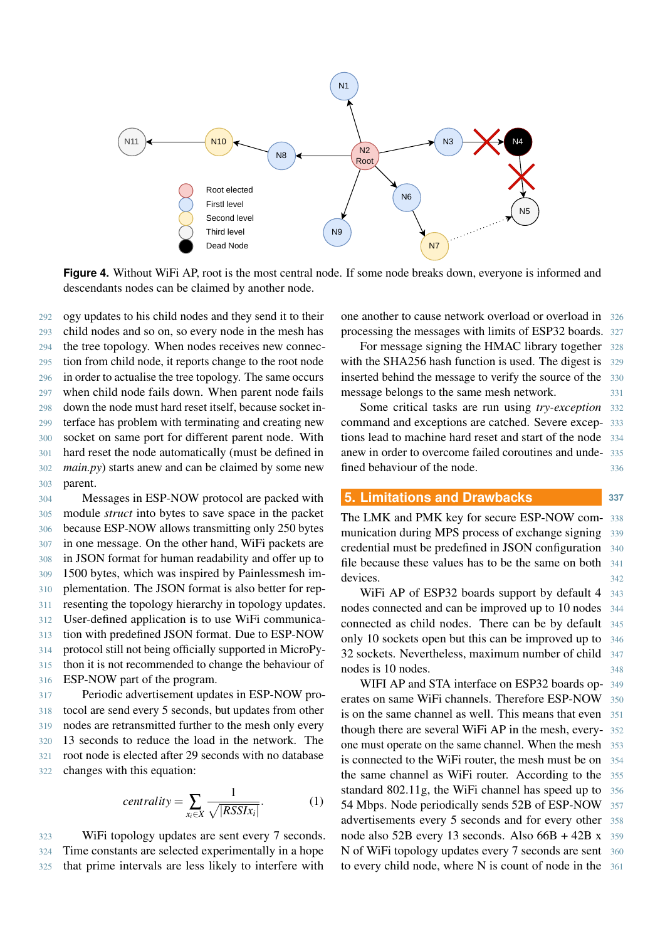<span id="page-4-0"></span>

**Figure 4.** Without WiFi AP, root is the most central node. If some node breaks down, everyone is informed and descendants nodes can be claimed by another node.

 ogy updates to his child nodes and they send it to their child nodes and so on, so every node in the mesh has the tree topology. When nodes receives new connec- tion from child node, it reports change to the root node in order to actualise the tree topology. The same occurs

 when child node fails down. When parent node fails down the node must hard reset itself, because socket in- terface has problem with terminating and creating new socket on same port for different parent node. With hard reset the node automatically (must be defined in *main.py*) starts anew and can be claimed by some new 303 parent.

 Messages in ESP-NOW protocol are packed with module *struct* into bytes to save space in the packet because ESP-NOW allows transmitting only 250 bytes in one message. On the other hand, WiFi packets are in JSON format for human readability and offer up to 1500 bytes, which was inspired by Painlessmesh im- plementation. The JSON format is also better for rep- resenting the topology hierarchy in topology updates. User-defined application is to use WiFi communica- tion with predefined JSON format. Due to ESP-NOW protocol still not being officially supported in MicroPy- thon it is not recommended to change the behaviour of ESP-NOW part of the program.

 Periodic advertisement updates in ESP-NOW pro- tocol are send every 5 seconds, but updates from other nodes are retransmitted further to the mesh only every 13 seconds to reduce the load in the network. The root node is elected after 29 seconds with no database changes with this equation:

$$
centrality = \sum_{x_i \in X} \frac{1}{\sqrt{|RSSI_{x_i}|}}.
$$
 (1)

323 WiFi topology updates are sent every 7 seconds. 324 Time constants are selected experimentally in a hope 325 that prime intervals are less likely to interfere with

one another to cause network overload or overload in 326 processing the messages with limits of ESP32 boards. 327

For message signing the HMAC library together 328 with the SHA256 hash function is used. The digest is 329 inserted behind the message to verify the source of the 330 message belongs to the same mesh network. 331

Some critical tasks are run using *try-exception* 332 command and exceptions are catched. Severe excep- 333 tions lead to machine hard reset and start of the node 334 anew in order to overcome failed coroutines and unde- 335 fined behaviour of the node. 336

# **5. Limitations and Drawbacks 337**

The LMK and PMK key for secure ESP-NOW com- 338 munication during MPS process of exchange signing 339 credential must be predefined in JSON configuration 340 file because these values has to be the same on both 341 devices. 342

WiFi AP of ESP32 boards support by default 4 343 nodes connected and can be improved up to 10 nodes 344 connected as child nodes. There can be by default 345 only 10 sockets open but this can be improved up to 346 32 sockets. Nevertheless, maximum number of child 347 nodes is 10 nodes. 348

WIFI AP and STA interface on ESP32 boards op- 349 erates on same WiFi channels. Therefore ESP-NOW 350 is on the same channel as well. This means that even 351 though there are several WiFi AP in the mesh, every- 352 one must operate on the same channel. When the mesh 353 is connected to the WiFi router, the mesh must be on 354 the same channel as WiFi router. According to the 355 standard 802.11g, the WiFi channel has speed up to 356 54 Mbps. Node periodically sends 52B of ESP-NOW 357 advertisements every 5 seconds and for every other 358 node also 52B every 13 seconds. Also 66B + 42B x 359 N of WiFi topology updates every 7 seconds are sent 360 to every child node, where N is count of node in the 361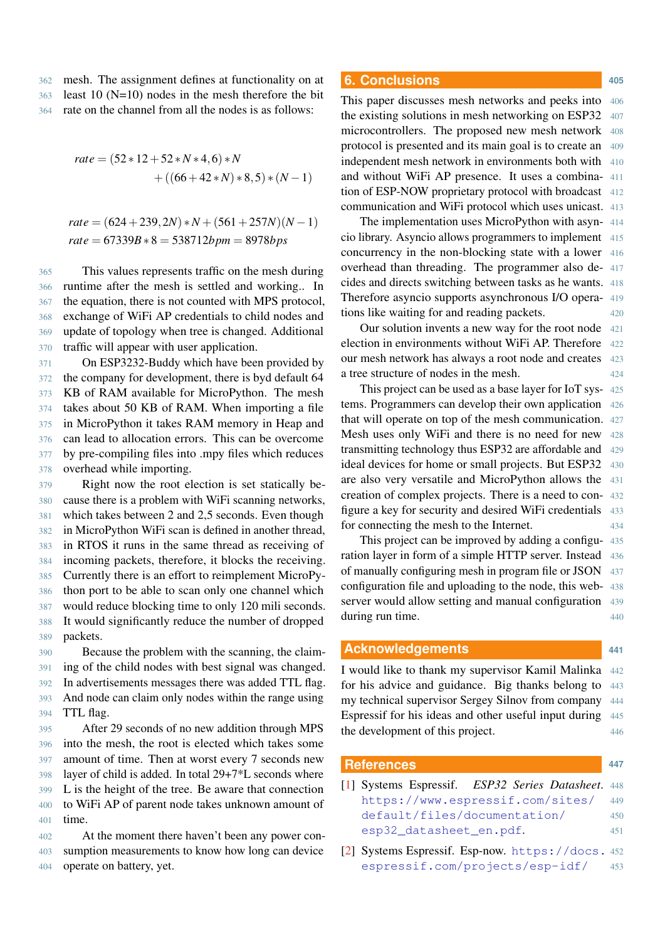362 mesh. The assignment defines at functionality on at  $363$  least 10 (N=10) nodes in the mesh therefore the bit 364 rate on the channel from all the nodes is as follows:

$$
rate = (52 * 12 + 52 * N * 4, 6) * N + ((66 + 42 * N) * 8, 5) * (N - 1)
$$

$$
rate = (624 + 239, 2N) * N + (561 + 257N)(N - 1)
$$

$$
rate = 67339B * 8 = 538712bpm = 8978bps
$$

 This values represents traffic on the mesh during runtime after the mesh is settled and working.. In the equation, there is not counted with MPS protocol, exchange of WiFi AP credentials to child nodes and update of topology when tree is changed. Additional traffic will appear with user application.

 On ESP3232-Buddy which have been provided by the company for development, there is byd default 64 KB of RAM available for MicroPython. The mesh takes about 50 KB of RAM. When importing a file in MicroPython it takes RAM memory in Heap and can lead to allocation errors. This can be overcome by pre-compiling files into .mpy files which reduces overhead while importing.

 Right now the root election is set statically be- cause there is a problem with WiFi scanning networks, which takes between 2 and 2,5 seconds. Even though in MicroPython WiFi scan is defined in another thread, in RTOS it runs in the same thread as receiving of incoming packets, therefore, it blocks the receiving. Currently there is an effort to reimplement MicroPy- thon port to be able to scan only one channel which would reduce blocking time to only 120 mili seconds. It would significantly reduce the number of dropped 389 packets.

 Because the problem with the scanning, the claim- ing of the child nodes with best signal was changed. In advertisements messages there was added TTL flag. And node can claim only nodes within the range using TTL flag.

 After 29 seconds of no new addition through MPS into the mesh, the root is elected which takes some amount of time. Then at worst every 7 seconds new layer of child is added. In total 29+7\*L seconds where L is the height of the tree. Be aware that connection to WiFi AP of parent node takes unknown amount of 401 time.

402 At the moment there haven't been any power con-403 sumption measurements to know how long can device 404 operate on battery, yet.

# **6. Conclusions <sup>405</sup>**

This paper discusses mesh networks and peeks into 406 the existing solutions in mesh networking on ESP32 407 microcontrollers. The proposed new mesh network 408 protocol is presented and its main goal is to create an 409 independent mesh network in environments both with 410 and without WiFi AP presence. It uses a combina- 411 tion of ESP-NOW proprietary protocol with broadcast 412 communication and WiFi protocol which uses unicast. 413

The implementation uses MicroPython with asyn- 414 cio library. Asyncio allows programmers to implement 415 concurrency in the non-blocking state with a lower 416 overhead than threading. The programmer also de- 417 cides and directs switching between tasks as he wants. 418 Therefore asyncio supports asynchronous I/O opera- 419 tions like waiting for and reading packets. 420

Our solution invents a new way for the root node 421 election in environments without WiFi AP. Therefore 422 our mesh network has always a root node and creates 423 a tree structure of nodes in the mesh. 424

This project can be used as a base layer for IoT sys- 425 tems. Programmers can develop their own application 426 that will operate on top of the mesh communication. 427 Mesh uses only WiFi and there is no need for new 428 transmitting technology thus ESP32 are affordable and 429 ideal devices for home or small projects. But ESP32 430 are also very versatile and MicroPython allows the 431 creation of complex projects. There is a need to con- 432 figure a key for security and desired WiFi credentials 433 for connecting the mesh to the Internet. 434

This project can be improved by adding a configu- 435 ration layer in form of a simple HTTP server. Instead 436 of manually configuring mesh in program file or JSON 437 configuration file and uploading to the node, this web- 438 server would allow setting and manual configuration 439 during run time. 440

#### **Acknowledgements <sup>441</sup>**

I would like to thank my supervisor Kamil Malinka 442 for his advice and guidance. Big thanks belong to 443 my technical supervisor Sergey Silnov from company 444 Espressif for his ideas and other useful input during 445 the development of this project. 446

#### **References <sup>447</sup>**

- <span id="page-5-0"></span>[1] Systems Espressif. *ESP32 Series Datasheet*. 448 [https://www.espressif.com/sites/](https://www.espressif.com/sites/default/files/documentation/esp32_datasheet_en.pdf) 449 [default/files/documentation/](https://www.espressif.com/sites/default/files/documentation/esp32_datasheet_en.pdf) 450 [esp32\\_datasheet\\_en.pdf](https://www.espressif.com/sites/default/files/documentation/esp32_datasheet_en.pdf). 451
- <span id="page-5-1"></span>[\[](https://docs.espressif.com/projects/esp-idf/en/latest/esp32/api-reference/network/esp_now.html)2] Systems Espressif. Esp-now. [https://docs.](https://docs.espressif.com/projects/esp-idf/en/latest/esp32/api-reference/network/esp_now.html) <sup>452</sup> [espressif.com/projects/esp-idf/](https://docs.espressif.com/projects/esp-idf/en/latest/esp32/api-reference/network/esp_now.html) 453